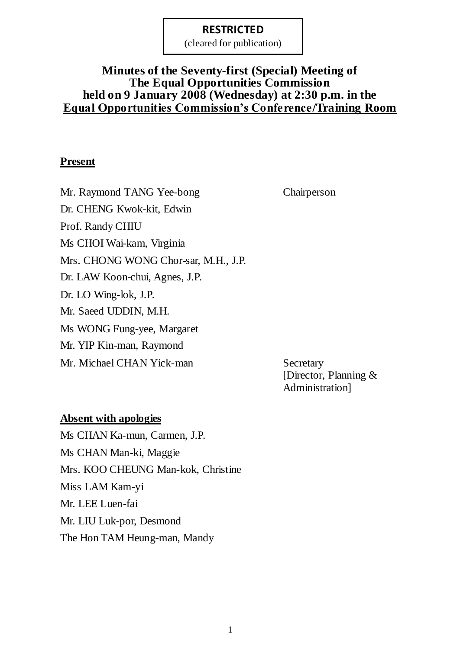(cleared for publication)

# **Minutes of the Seventy-first (Special) Meeting of The Equal Opportunities Commission held on 9 January 2008 (Wednesday) at 2:30 p.m. in the Equal Opportunities Commission's Conference/Training Room**

# **Present**

Mr. Raymond TANG Yee-bong Chairperson Dr. CHENG Kwok-kit, Edwin Prof. Randy CHIU Ms CHOI Wai-kam, Virginia Mrs. CHONG WONG Chor-sar, M.H., J.P. Dr. LAW Koon-chui, Agnes, J.P. Dr. LO Wing-lok, J.P. Mr. Saeed UDDIN, M.H. Ms WONG Fung-yee, Margaret Mr. YIP Kin-man, Raymond Mr. Michael CHAN Yick-man Secretary

[Director, Planning & Administration]

### **Absent with apologies**

Ms CHAN Ka-mun, Carmen, J.P. Ms CHAN Man-ki, Maggie Mrs. KOO CHEUNG Man-kok, Christine Miss LAM Kam-yi Mr. LEE Luen-fai Mr. LIU Luk-por, Desmond The Hon TAM Heung-man, Mandy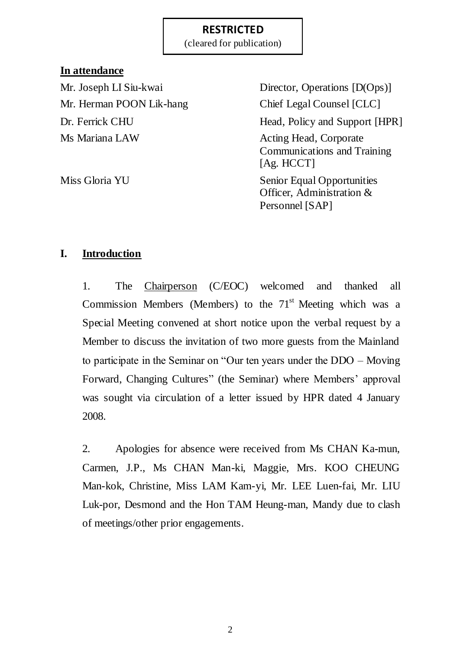(cleared for publication)

# **In attendance**

Mr. Herman POON Lik-hang Chief Legal Counsel [CLC] Ms Mariana LAW Acting Head, Corporate

Mr. Joseph LI Siu-kwai Director, Operations [D(Ops)] Dr. Ferrick CHU Head, Policy and Support [HPR] Communications and Training [Ag. HCCT] Miss Gloria YU Senior Equal Opportunities Officer, Administration &

Personnel [SAP]

# **I. Introduction**

1. The Chairperson (C/EOC) welcomed and thanked all Commission Members (Members) to the  $71<sup>st</sup>$  Meeting which was a Special Meeting convened at short notice upon the verbal request by a Member to discuss the invitation of two more guests from the Mainland to participate in the Seminar on "Our ten years under the DDO – Moving Forward, Changing Cultures" (the Seminar) where Members' approval was sought via circulation of a letter issued by HPR dated 4 January 2008.

2. Apologies for absence were received from Ms CHAN Ka-mun, Carmen, J.P., Ms CHAN Man-ki, Maggie, Mrs. KOO CHEUNG Man-kok, Christine, Miss LAM Kam-yi, Mr. LEE Luen-fai, Mr. LIU Luk-por, Desmond and the Hon TAM Heung-man, Mandy due to clash of meetings/other prior engagements.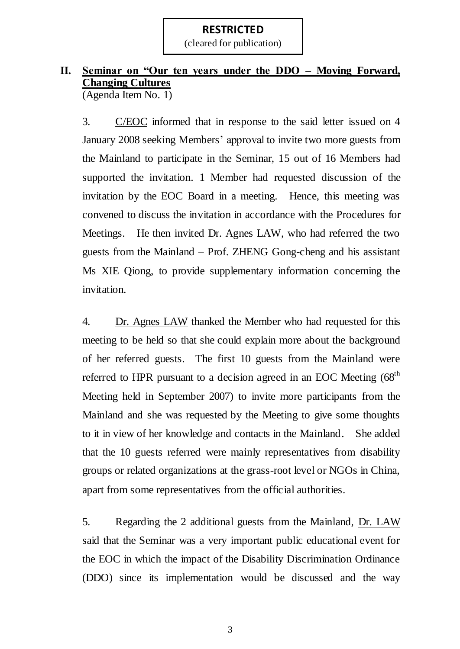(cleared for publication)

# **II. Seminar on "Our ten years under the DDO – Moving Forward, Changing Cultures**

(Agenda Item No. 1)

3. C/EOC informed that in response to the said letter issued on 4 January 2008 seeking Members' approval to invite two more guests from the Mainland to participate in the Seminar, 15 out of 16 Members had supported the invitation. 1 Member had requested discussion of the invitation by the EOC Board in a meeting. Hence, this meeting was convened to discuss the invitation in accordance with the Procedures for Meetings. He then invited Dr. Agnes LAW, who had referred the two guests from the Mainland – Prof. ZHENG Gong-cheng and his assistant Ms XIE Qiong, to provide supplementary information concerning the invitation.

4. Dr. Agnes LAW thanked the Member who had requested for this meeting to be held so that she could explain more about the background of her referred guests. The first 10 guests from the Mainland were referred to HPR pursuant to a decision agreed in an EOC Meeting (68<sup>th</sup>) Meeting held in September 2007) to invite more participants from the Mainland and she was requested by the Meeting to give some thoughts to it in view of her knowledge and contacts in the Mainland. She added that the 10 guests referred were mainly representatives from disability groups or related organizations at the grass-root level or NGOs in China, apart from some representatives from the official authorities.

5. Regarding the 2 additional guests from the Mainland, Dr. LAW said that the Seminar was a very important public educational event for the EOC in which the impact of the Disability Discrimination Ordinance (DDO) since its implementation would be discussed and the way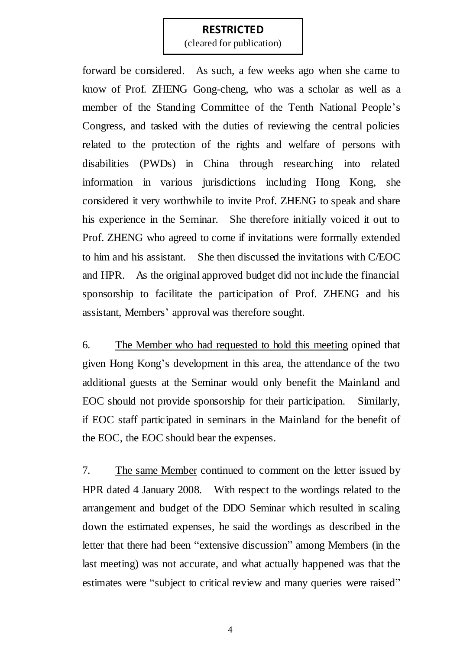(cleared for publication)

forward be considered. As such, a few weeks ago when she came to know of Prof. ZHENG Gong-cheng, who was a scholar as well as a member of the Standing Committee of the Tenth National People's Congress, and tasked with the duties of reviewing the central policies related to the protection of the rights and welfare of persons with disabilities (PWDs) in China through researching into related information in various jurisdictions including Hong Kong, she considered it very worthwhile to invite Prof. ZHENG to speak and share his experience in the Seminar. She therefore initially voiced it out to Prof. ZHENG who agreed to come if invitations were formally extended to him and his assistant. She then discussed the invitations with C/EOC and HPR. As the original approved budget did not include the financial sponsorship to facilitate the participation of Prof. ZHENG and his assistant, Members' approval was therefore sought.

6. The Member who had requested to hold this meeting opined that given Hong Kong's development in this area, the attendance of the two additional guests at the Seminar would only benefit the Mainland and EOC should not provide sponsorship for their participation. Similarly, if EOC staff participated in seminars in the Mainland for the benefit of the EOC, the EOC should bear the expenses.

7. The same Member continued to comment on the letter issued by HPR dated 4 January 2008. With respect to the wordings related to the arrangement and budget of the DDO Seminar which resulted in scaling down the estimated expenses, he said the wordings as described in the letter that there had been "extensive discussion" among Members (in the last meeting) was not accurate, and what actually happened was that the estimates were "subject to critical review and many queries were raised"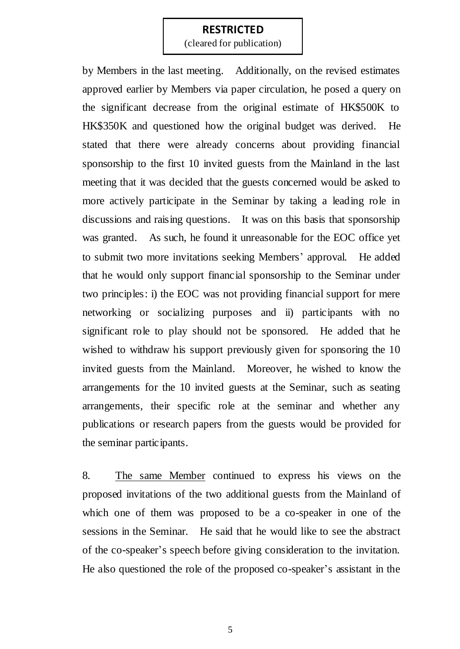(cleared for publication)

by Members in the last meeting. Additionally, on the revised estimates approved earlier by Members via paper circulation, he posed a query on the significant decrease from the original estimate of HK\$500K to HK\$350K and questioned how the original budget was derived. He stated that there were already concerns about providing financial sponsorship to the first 10 invited guests from the Mainland in the last meeting that it was decided that the guests concerned would be asked to more actively participate in the Seminar by taking a leading role in discussions and raising questions. It was on this basis that sponsorship was granted. As such, he found it unreasonable for the EOC office yet to submit two more invitations seeking Members' approval. He added that he would only support financial sponsorship to the Seminar under two principles: i) the EOC was not providing financial support for mere networking or socializing purposes and ii) participants with no significant role to play should not be sponsored. He added that he wished to withdraw his support previously given for sponsoring the 10 invited guests from the Mainland. Moreover, he wished to know the arrangements for the 10 invited guests at the Seminar, such as seating arrangements, their specific role at the seminar and whether any publications or research papers from the guests would be provided for the seminar participants.

8. The same Member continued to express his views on the proposed invitations of the two additional guests from the Mainland of which one of them was proposed to be a co-speaker in one of the sessions in the Seminar. He said that he would like to see the abstract of the co-speaker's speech before giving consideration to the invitation. He also questioned the role of the proposed co-speaker's assistant in the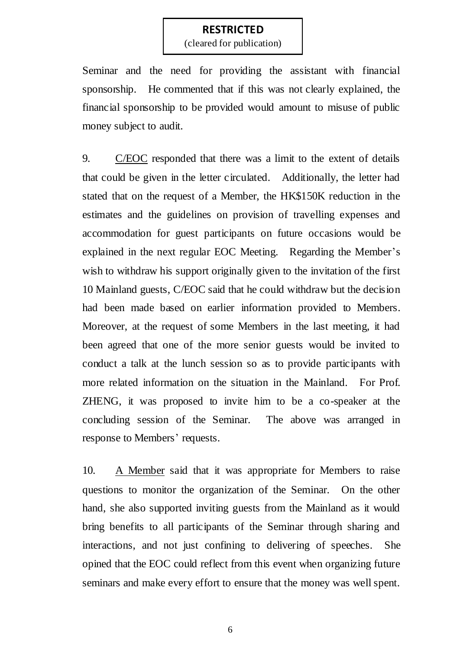(cleared for publication)

Seminar and the need for providing the assistant with financial sponsorship. He commented that if this was not clearly explained, the financial sponsorship to be provided would amount to misuse of public money subject to audit.

9. C/EOC responded that there was a limit to the extent of details that could be given in the letter circulated. Additionally, the letter had stated that on the request of a Member, the HK\$150K reduction in the estimates and the guidelines on provision of travelling expenses and accommodation for guest participants on future occasions would be explained in the next regular EOC Meeting. Regarding the Member's wish to withdraw his support originally given to the invitation of the first 10 Mainland guests, C/EOC said that he could withdraw but the decision had been made based on earlier information provided to Members. Moreover, at the request of some Members in the last meeting, it had been agreed that one of the more senior guests would be invited to conduct a talk at the lunch session so as to provide participants with more related information on the situation in the Mainland. For Prof. ZHENG, it was proposed to invite him to be a co-speaker at the concluding session of the Seminar. The above was arranged in response to Members' requests.

10. A Member said that it was appropriate for Members to raise questions to monitor the organization of the Seminar. On the other hand, she also supported inviting guests from the Mainland as it would bring benefits to all participants of the Seminar through sharing and interactions, and not just confining to delivering of speeches. She opined that the EOC could reflect from this event when organizing future seminars and make every effort to ensure that the money was well spent.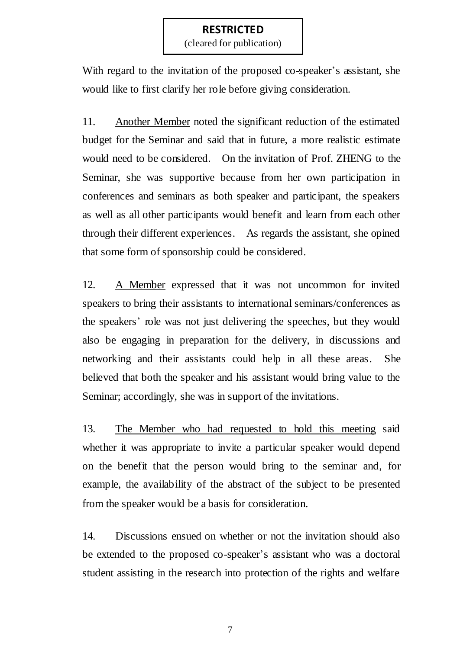(cleared for publication)

With regard to the invitation of the proposed co-speaker's assistant, she would like to first clarify her role before giving consideration.

11. Another Member noted the significant reduction of the estimated budget for the Seminar and said that in future, a more realistic estimate would need to be considered. On the invitation of Prof. ZHENG to the Seminar, she was supportive because from her own participation in conferences and seminars as both speaker and participant, the speakers as well as all other participants would benefit and learn from each other through their different experiences. As regards the assistant, she opined that some form of sponsorship could be considered.

12. A Member expressed that it was not uncommon for invited speakers to bring their assistants to international seminars/conferences as the speakers' role was not just delivering the speeches, but they would also be engaging in preparation for the delivery, in discussions and networking and their assistants could help in all these areas. She believed that both the speaker and his assistant would bring value to the Seminar; accordingly, she was in support of the invitations.

13. The Member who had requested to hold this meeting said whether it was appropriate to invite a particular speaker would depend on the benefit that the person would bring to the seminar and, for example, the availability of the abstract of the subject to be presented from the speaker would be a basis for consideration.

14. Discussions ensued on whether or not the invitation should also be extended to the proposed co-speaker's assistant who was a doctoral student assisting in the research into protection of the rights and welfare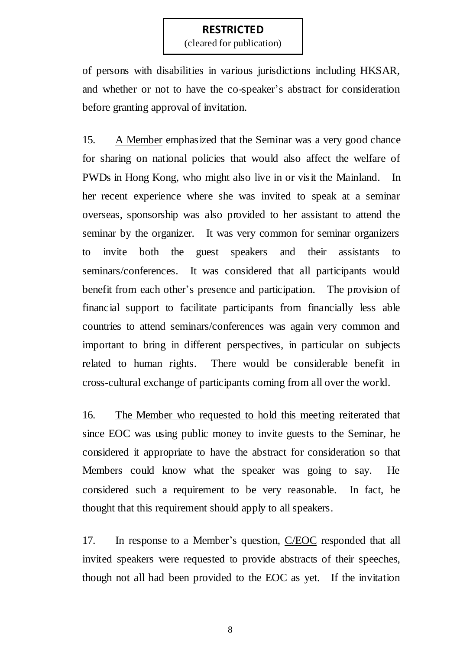(cleared for publication)

of persons with disabilities in various jurisdictions including HKSAR, and whether or not to have the co-speaker's abstract for consideration before granting approval of invitation.

15. A Member emphasized that the Seminar was a very good chance for sharing on national policies that would also affect the welfare of PWDs in Hong Kong, who might also live in or visit the Mainland. In her recent experience where she was invited to speak at a seminar overseas, sponsorship was also provided to her assistant to attend the seminar by the organizer. It was very common for seminar organizers to invite both the guest speakers and their assistants to seminars/conferences. It was considered that all participants would benefit from each other's presence and participation. The provision of financial support to facilitate participants from financially less able countries to attend seminars/conferences was again very common and important to bring in different perspectives, in particular on subjects related to human rights. There would be considerable benefit in cross-cultural exchange of participants coming from all over the world.

16. The Member who requested to hold this meeting reiterated that since EOC was using public money to invite guests to the Seminar, he considered it appropriate to have the abstract for consideration so that Members could know what the speaker was going to say. He considered such a requirement to be very reasonable. In fact, he thought that this requirement should apply to all speakers.

17. In response to a Member's question, C/EOC responded that all invited speakers were requested to provide abstracts of their speeches, though not all had been provided to the EOC as yet. If the invitation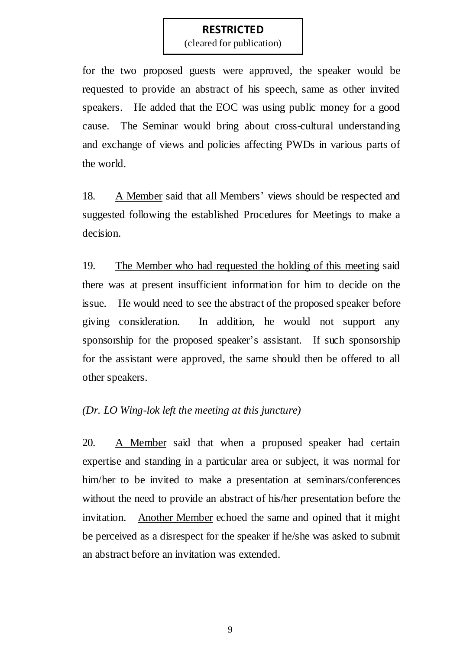(cleared for publication)

for the two proposed guests were approved, the speaker would be requested to provide an abstract of his speech, same as other invited speakers. He added that the EOC was using public money for a good cause. The Seminar would bring about cross-cultural understanding and exchange of views and policies affecting PWDs in various parts of the world.

18. A Member said that all Members' views should be respected and suggested following the established Procedures for Meetings to make a decision.

19. The Member who had requested the holding of this meeting said there was at present insufficient information for him to decide on the issue. He would need to see the abstract of the proposed speaker before giving consideration. In addition, he would not support any sponsorship for the proposed speaker's assistant. If such sponsorship for the assistant were approved, the same should then be offered to all other speakers.

#### *(Dr. LO Wing-lok left the meeting at this juncture)*

20. A Member said that when a proposed speaker had certain expertise and standing in a particular area or subject, it was normal for him/her to be invited to make a presentation at seminars/conferences without the need to provide an abstract of his/her presentation before the invitation. Another Member echoed the same and opined that it might be perceived as a disrespect for the speaker if he/she was asked to submit an abstract before an invitation was extended.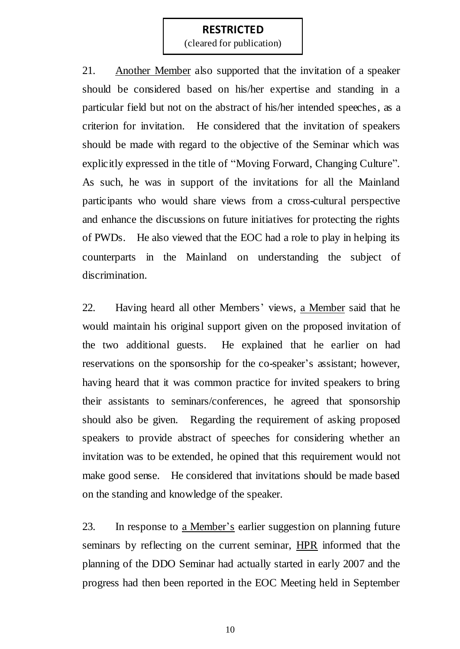(cleared for publication)

21. Another Member also supported that the invitation of a speaker should be considered based on his/her expertise and standing in a particular field but not on the abstract of his/her intended speeches, as a criterion for invitation. He considered that the invitation of speakers should be made with regard to the objective of the Seminar which was explicitly expressed in the title of "Moving Forward, Changing Culture". As such, he was in support of the invitations for all the Mainland participants who would share views from a cross-cultural perspective and enhance the discussions on future initiatives for protecting the rights of PWDs. He also viewed that the EOC had a role to play in helping its counterparts in the Mainland on understanding the subject of discrimination.

22. Having heard all other Members' views, a Member said that he would maintain his original support given on the proposed invitation of the two additional guests. He explained that he earlier on had reservations on the sponsorship for the co-speaker's assistant; however, having heard that it was common practice for invited speakers to bring their assistants to seminars/conferences, he agreed that sponsorship should also be given. Regarding the requirement of asking proposed speakers to provide abstract of speeches for considering whether an invitation was to be extended, he opined that this requirement would not make good sense. He considered that invitations should be made based on the standing and knowledge of the speaker.

23. In response to a Member's earlier suggestion on planning future seminars by reflecting on the current seminar, HPR informed that the planning of the DDO Seminar had actually started in early 2007 and the progress had then been reported in the EOC Meeting held in September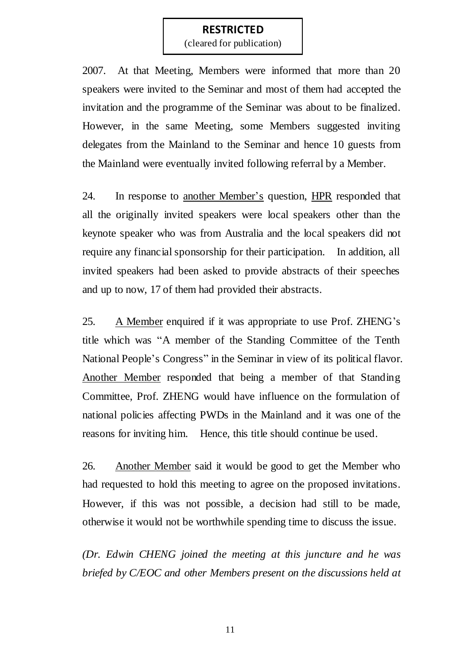(cleared for publication)

2007. At that Meeting, Members were informed that more than 20 speakers were invited to the Seminar and most of them had accepted the invitation and the programme of the Seminar was about to be finalized. However, in the same Meeting, some Members suggested inviting delegates from the Mainland to the Seminar and hence 10 guests from the Mainland were eventually invited following referral by a Member.

24. In response to another Member's question, HPR responded that all the originally invited speakers were local speakers other than the keynote speaker who was from Australia and the local speakers did not require any financial sponsorship for their participation. In addition, all invited speakers had been asked to provide abstracts of their speeches and up to now, 17 of them had provided their abstracts.

25. A Member enquired if it was appropriate to use Prof. ZHENG's title which was "A member of the Standing Committee of the Tenth National People's Congress" in the Seminar in view of its political flavor. Another Member responded that being a member of that Standing Committee, Prof. ZHENG would have influence on the formulation of national policies affecting PWDs in the Mainland and it was one of the reasons for inviting him. Hence, this title should continue be used.

26. Another Member said it would be good to get the Member who had requested to hold this meeting to agree on the proposed invitations. However, if this was not possible, a decision had still to be made, otherwise it would not be worthwhile spending time to discuss the issue.

*(Dr. Edwin CHENG joined the meeting at this juncture and he was briefed by C/EOC and other Members present on the discussions held at*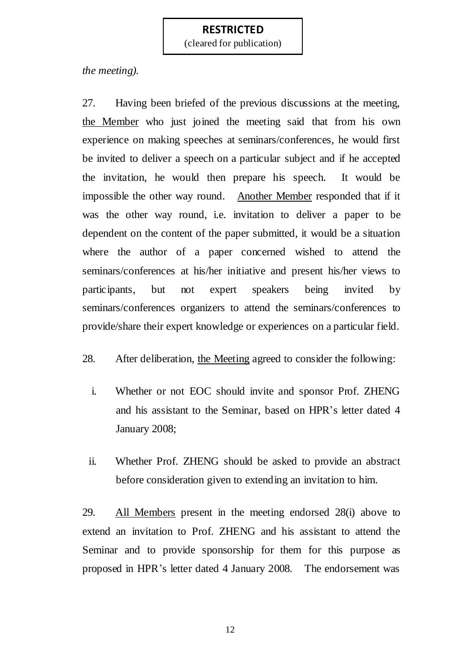(cleared for publication)

*the meeting).* 

27. Having been briefed of the previous discussions at the meeting, the Member who just joined the meeting said that from his own experience on making speeches at seminars/conferences, he would first be invited to deliver a speech on a particular subject and if he accepted the invitation, he would then prepare his speech. It would be impossible the other way round. Another Member responded that if it was the other way round, i.e. invitation to deliver a paper to be dependent on the content of the paper submitted, it would be a situation where the author of a paper concerned wished to attend the seminars/conferences at his/her initiative and present his/her views to participants, but not expert speakers being invited by seminars/conferences organizers to attend the seminars/conferences to provide/share their expert knowledge or experiences on a particular field.

28. After deliberation, the Meeting agreed to consider the following:

- i. Whether or not EOC should invite and sponsor Prof. ZHENG and his assistant to the Seminar, based on HPR's letter dated 4 January 2008;
- ii. Whether Prof. ZHENG should be asked to provide an abstract before consideration given to extending an invitation to him.

29. All Members present in the meeting endorsed 28(i) above to extend an invitation to Prof. ZHENG and his assistant to attend the Seminar and to provide sponsorship for them for this purpose as proposed in HPR's letter dated 4 January 2008. The endorsement was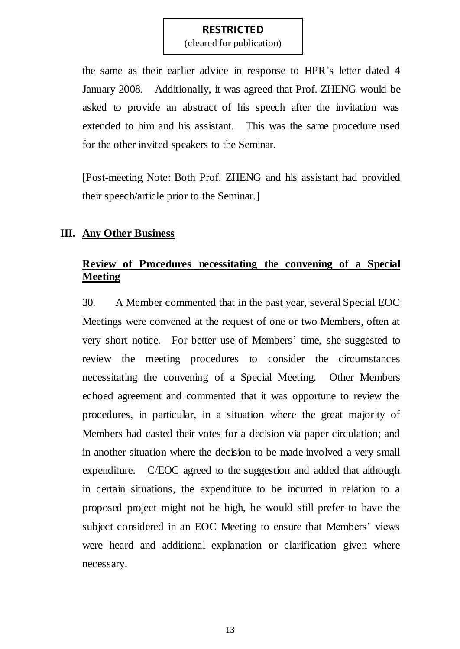(cleared for publication)

the same as their earlier advice in response to HPR's letter dated 4 January 2008. Additionally, it was agreed that Prof. ZHENG would be asked to provide an abstract of his speech after the invitation was extended to him and his assistant. This was the same procedure used for the other invited speakers to the Seminar.

[Post-meeting Note: Both Prof. ZHENG and his assistant had provided their speech/article prior to the Seminar.]

# **III. Any Other Business**

# **Review of Procedures necessitating the convening of a Special Meeting**

30. A Member commented that in the past year, several Special EOC Meetings were convened at the request of one or two Members, often at very short notice. For better use of Members' time, she suggested to review the meeting procedures to consider the circumstances necessitating the convening of a Special Meeting. Other Members echoed agreement and commented that it was opportune to review the procedures, in particular, in a situation where the great majority of Members had casted their votes for a decision via paper circulation; and in another situation where the decision to be made involved a very small expenditure. C/EOC agreed to the suggestion and added that although in certain situations, the expenditure to be incurred in relation to a proposed project might not be high, he would still prefer to have the subject considered in an EOC Meeting to ensure that Members' views were heard and additional explanation or clarification given where necessary.